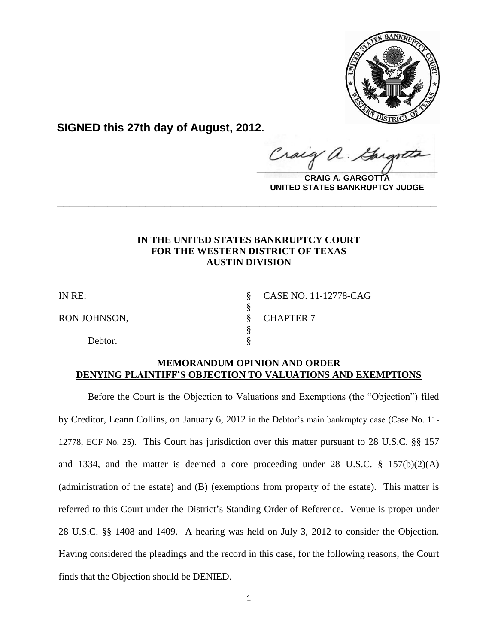

**SIGNED this 27th day of August, 2012.**

Craig a.  $\frac{1}{2}$ 

**CRAIG A. GARGOTTA UNITED STATES BANKRUPTCY JUDGE**

# **IN THE UNITED STATES BANKRUPTCY COURT FOR THE WESTERN DISTRICT OF TEXAS AUSTIN DIVISION**

**\_\_\_\_\_\_\_\_\_\_\_\_\_\_\_\_\_\_\_\_\_\_\_\_\_\_\_\_\_\_\_\_\_\_\_\_\_\_\_\_\_\_\_\_\_\_\_\_\_\_\_\_\_\_\_\_\_\_\_\_**

RON JOHNSON, SCHAPTER 7

Debtor.

IN RE: § CASE NO. 11-12778-CAG

## **MEMORANDUM OPINION AND ORDER DENYING PLAINTIFF'S OBJECTION TO VALUATIONS AND EXEMPTIONS**

§<br>§

§

Before the Court is the Objection to Valuations and Exemptions (the "Objection") filed by Creditor, Leann Collins, on January 6, 2012 in the Debtor's main bankruptcy case (Case No. 11- 12778, ECF No. 25). This Court has jurisdiction over this matter pursuant to 28 U.S.C. §§ 157 and 1334, and the matter is deemed a core proceeding under 28 U.S.C. § 157(b)(2)(A) (administration of the estate) and (B) (exemptions from property of the estate). This matter is referred to this Court under the District's Standing Order of Reference. Venue is proper under 28 U.S.C. §§ 1408 and 1409.A hearing was held on July 3, 2012 to consider the Objection. Having considered the pleadings and the record in this case, for the following reasons, the Court finds that the Objection should be DENIED.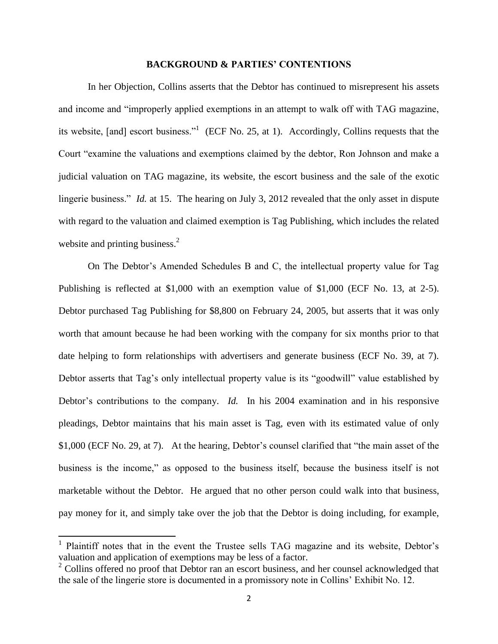## **BACKGROUND & PARTIES' CONTENTIONS**

In her Objection, Collins asserts that the Debtor has continued to misrepresent his assets and income and "improperly applied exemptions in an attempt to walk off with TAG magazine, its website, [and] escort business."<sup>1</sup> (ECF No. 25, at 1). Accordingly, Collins requests that the Court "examine the valuations and exemptions claimed by the debtor, Ron Johnson and make a judicial valuation on TAG magazine, its website, the escort business and the sale of the exotic lingerie business." *Id.* at 15. The hearing on July 3, 2012 revealed that the only asset in dispute with regard to the valuation and claimed exemption is Tag Publishing, which includes the related website and printing business.<sup>2</sup>

On The Debtor's Amended Schedules B and C, the intellectual property value for Tag Publishing is reflected at \$1,000 with an exemption value of \$1,000 (ECF No. 13, at 2-5). Debtor purchased Tag Publishing for \$8,800 on February 24, 2005, but asserts that it was only worth that amount because he had been working with the company for six months prior to that date helping to form relationships with advertisers and generate business (ECF No. 39, at 7). Debtor asserts that Tag's only intellectual property value is its "goodwill" value established by Debtor's contributions to the company. *Id.* In his 2004 examination and in his responsive pleadings, Debtor maintains that his main asset is Tag, even with its estimated value of only \$1,000 (ECF No. 29, at 7). At the hearing, Debtor's counsel clarified that "the main asset of the business is the income," as opposed to the business itself, because the business itself is not marketable without the Debtor. He argued that no other person could walk into that business, pay money for it, and simply take over the job that the Debtor is doing including, for example,

 $\overline{a}$ 

<sup>&</sup>lt;sup>1</sup> Plaintiff notes that in the event the Trustee sells TAG magazine and its website, Debtor's valuation and application of exemptions may be less of a factor.

<sup>&</sup>lt;sup>2</sup> Collins offered no proof that Debtor ran an escort business, and her counsel acknowledged that the sale of the lingerie store is documented in a promissory note in Collins' Exhibit No. 12.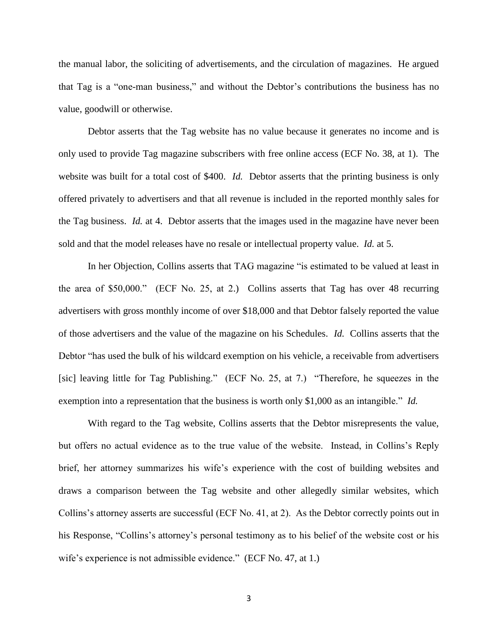the manual labor, the soliciting of advertisements, and the circulation of magazines. He argued that Tag is a "one-man business," and without the Debtor's contributions the business has no value, goodwill or otherwise.

Debtor asserts that the Tag website has no value because it generates no income and is only used to provide Tag magazine subscribers with free online access (ECF No. 38, at 1). The website was built for a total cost of \$400. *Id.* Debtor asserts that the printing business is only offered privately to advertisers and that all revenue is included in the reported monthly sales for the Tag business. *Id.* at 4. Debtor asserts that the images used in the magazine have never been sold and that the model releases have no resale or intellectual property value. *Id.* at 5.

In her Objection, Collins asserts that TAG magazine "is estimated to be valued at least in the area of \$50,000." (ECF No. 25, at 2.) Collins asserts that Tag has over 48 recurring advertisers with gross monthly income of over \$18,000 and that Debtor falsely reported the value of those advertisers and the value of the magazine on his Schedules. *Id.* Collins asserts that the Debtor "has used the bulk of his wildcard exemption on his vehicle, a receivable from advertisers [sic] leaving little for Tag Publishing." (ECF No. 25, at 7.) "Therefore, he squeezes in the exemption into a representation that the business is worth only \$1,000 as an intangible." *Id.*

With regard to the Tag website, Collins asserts that the Debtor misrepresents the value, but offers no actual evidence as to the true value of the website. Instead, in Collins's Reply brief, her attorney summarizes his wife's experience with the cost of building websites and draws a comparison between the Tag website and other allegedly similar websites, which Collins's attorney asserts are successful (ECF No. 41, at 2). As the Debtor correctly points out in his Response, "Collins's attorney's personal testimony as to his belief of the website cost or his wife's experience is not admissible evidence." (ECF No. 47, at 1.)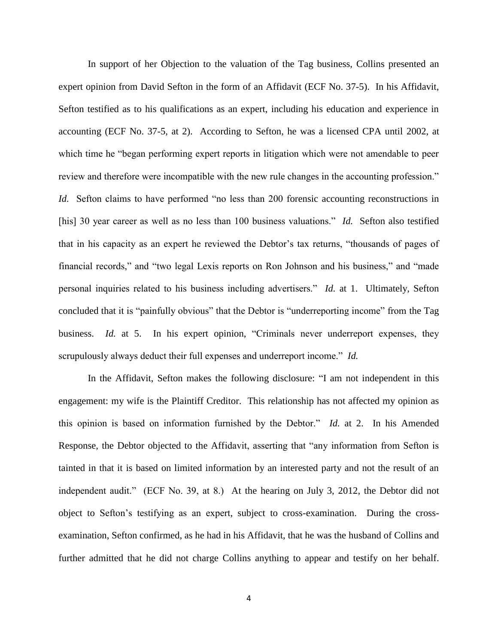In support of her Objection to the valuation of the Tag business, Collins presented an expert opinion from David Sefton in the form of an Affidavit (ECF No. 37-5). In his Affidavit, Sefton testified as to his qualifications as an expert, including his education and experience in accounting (ECF No. 37-5, at 2). According to Sefton, he was a licensed CPA until 2002, at which time he "began performing expert reports in litigation which were not amendable to peer review and therefore were incompatible with the new rule changes in the accounting profession." *Id.* Sefton claims to have performed "no less than 200 forensic accounting reconstructions in [his] 30 year career as well as no less than 100 business valuations." *Id.* Sefton also testified that in his capacity as an expert he reviewed the Debtor's tax returns, "thousands of pages of financial records," and "two legal Lexis reports on Ron Johnson and his business," and "made personal inquiries related to his business including advertisers." *Id.* at 1. Ultimately, Sefton concluded that it is "painfully obvious" that the Debtor is "underreporting income" from the Tag business. *Id.* at 5. In his expert opinion, "Criminals never underreport expenses, they scrupulously always deduct their full expenses and underreport income." *Id.*

In the Affidavit, Sefton makes the following disclosure: "I am not independent in this engagement: my wife is the Plaintiff Creditor. This relationship has not affected my opinion as this opinion is based on information furnished by the Debtor." *Id.* at 2. In his Amended Response, the Debtor objected to the Affidavit, asserting that "any information from Sefton is tainted in that it is based on limited information by an interested party and not the result of an independent audit." (ECF No. 39, at 8.) At the hearing on July 3, 2012, the Debtor did not object to Sefton's testifying as an expert, subject to cross-examination. During the crossexamination, Sefton confirmed, as he had in his Affidavit, that he was the husband of Collins and further admitted that he did not charge Collins anything to appear and testify on her behalf.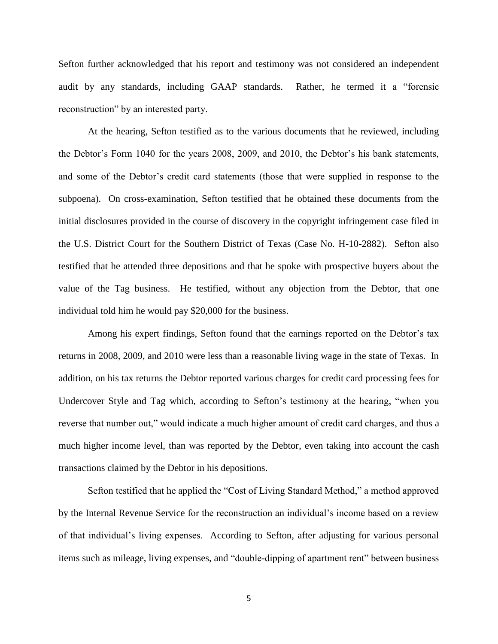Sefton further acknowledged that his report and testimony was not considered an independent audit by any standards, including GAAP standards. Rather, he termed it a "forensic reconstruction" by an interested party.

At the hearing, Sefton testified as to the various documents that he reviewed, including the Debtor's Form 1040 for the years 2008, 2009, and 2010, the Debtor's his bank statements, and some of the Debtor's credit card statements (those that were supplied in response to the subpoena). On cross-examination, Sefton testified that he obtained these documents from the initial disclosures provided in the course of discovery in the copyright infringement case filed in the U.S. District Court for the Southern District of Texas (Case No. H-10-2882). Sefton also testified that he attended three depositions and that he spoke with prospective buyers about the value of the Tag business. He testified, without any objection from the Debtor, that one individual told him he would pay \$20,000 for the business.

Among his expert findings, Sefton found that the earnings reported on the Debtor's tax returns in 2008, 2009, and 2010 were less than a reasonable living wage in the state of Texas. In addition, on his tax returns the Debtor reported various charges for credit card processing fees for Undercover Style and Tag which, according to Sefton's testimony at the hearing, "when you reverse that number out," would indicate a much higher amount of credit card charges, and thus a much higher income level, than was reported by the Debtor, even taking into account the cash transactions claimed by the Debtor in his depositions.

Sefton testified that he applied the "Cost of Living Standard Method," a method approved by the Internal Revenue Service for the reconstruction an individual's income based on a review of that individual's living expenses. According to Sefton, after adjusting for various personal items such as mileage, living expenses, and "double-dipping of apartment rent" between business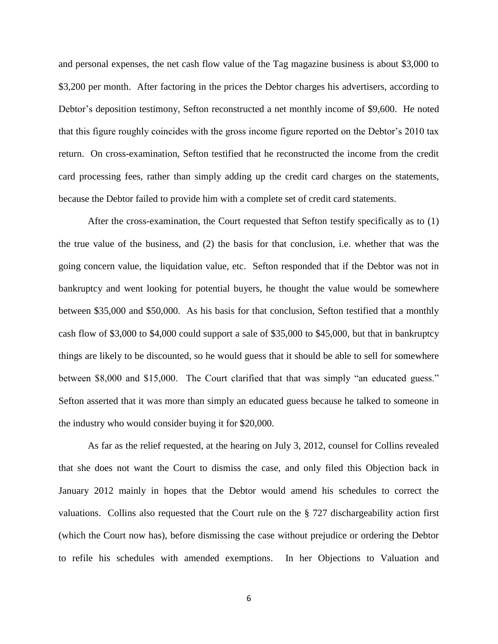and personal expenses, the net cash flow value of the Tag magazine business is about \$3,000 to \$3,200 per month. After factoring in the prices the Debtor charges his advertisers, according to Debtor's deposition testimony, Sefton reconstructed a net monthly income of \$9,600. He noted that this figure roughly coincides with the gross income figure reported on the Debtor's 2010 tax return. On cross-examination, Sefton testified that he reconstructed the income from the credit card processing fees, rather than simply adding up the credit card charges on the statements, because the Debtor failed to provide him with a complete set of credit card statements.

After the cross-examination, the Court requested that Sefton testify specifically as to (1) the true value of the business, and (2) the basis for that conclusion, i.e. whether that was the going concern value, the liquidation value, etc. Sefton responded that if the Debtor was not in bankruptcy and went looking for potential buyers, he thought the value would be somewhere between \$35,000 and \$50,000. As his basis for that conclusion, Sefton testified that a monthly cash flow of \$3,000 to \$4,000 could support a sale of \$35,000 to \$45,000, but that in bankruptcy things are likely to be discounted, so he would guess that it should be able to sell for somewhere between \$8,000 and \$15,000. The Court clarified that that was simply "an educated guess." Sefton asserted that it was more than simply an educated guess because he talked to someone in the industry who would consider buying it for \$20,000.

As far as the relief requested, at the hearing on July 3, 2012, counsel for Collins revealed that she does not want the Court to dismiss the case, and only filed this Objection back in January 2012 mainly in hopes that the Debtor would amend his schedules to correct the valuations. Collins also requested that the Court rule on the § 727 dischargeability action first (which the Court now has), before dismissing the case without prejudice or ordering the Debtor to refile his schedules with amended exemptions. In her Objections to Valuation and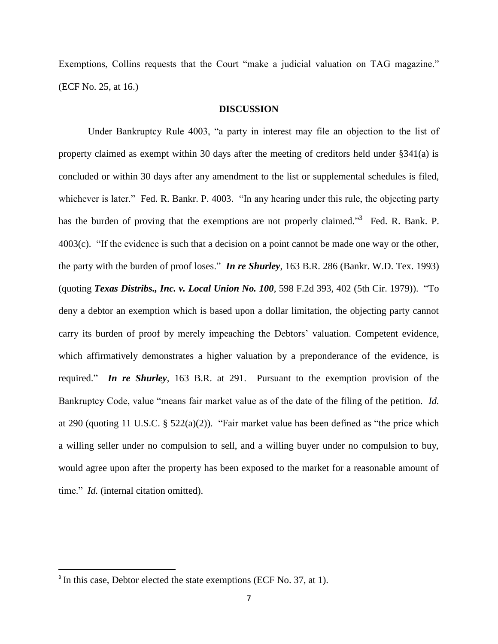Exemptions, Collins requests that the Court "make a judicial valuation on TAG magazine." (ECF No. 25, at 16.)

### **DISCUSSION**

Under Bankruptcy Rule 4003, "a party in interest may file an objection to the list of property claimed as exempt within 30 days after the meeting of creditors held under §341(a) is concluded or within 30 days after any amendment to the list or supplemental schedules is filed, whichever is later." Fed. R. Bankr. P. 4003. "In any hearing under this rule, the objecting party has the burden of proving that the exemptions are not properly claimed."<sup>3</sup> Fed. R. Bank. P. 4003(c). "If the evidence is such that a decision on a point cannot be made one way or the other, the party with the burden of proof loses." *In re Shurley*, 163 B.R. 286 (Bankr. W.D. Tex. 1993) (quoting *Texas Distribs., Inc. v. Local Union No. 100*, 598 F.2d 393, 402 (5th Cir. 1979)). "To deny a debtor an exemption which is based upon a dollar limitation, the objecting party cannot carry its burden of proof by merely impeaching the Debtors' valuation. Competent evidence, which affirmatively demonstrates a higher valuation by a preponderance of the evidence, is required." *In re Shurley*, 163 B.R. at 291. Pursuant to the exemption provision of the Bankruptcy Code, value "means fair market value as of the date of the filing of the petition. *Id.* at 290 (quoting 11 U.S.C. § 522(a)(2)). "Fair market value has been defined as "the price which a willing seller under no compulsion to sell, and a willing buyer under no compulsion to buy, would agree upon after the property has been exposed to the market for a reasonable amount of time." *Id.* (internal citation omitted).

 $\overline{a}$ 

<sup>&</sup>lt;sup>3</sup> In this case, Debtor elected the state exemptions (ECF No. 37, at 1).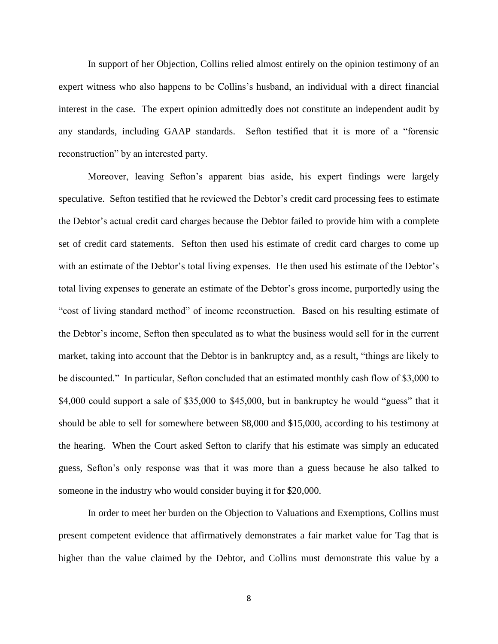In support of her Objection, Collins relied almost entirely on the opinion testimony of an expert witness who also happens to be Collins's husband, an individual with a direct financial interest in the case. The expert opinion admittedly does not constitute an independent audit by any standards, including GAAP standards. Sefton testified that it is more of a "forensic reconstruction" by an interested party.

Moreover, leaving Sefton's apparent bias aside, his expert findings were largely speculative. Sefton testified that he reviewed the Debtor's credit card processing fees to estimate the Debtor's actual credit card charges because the Debtor failed to provide him with a complete set of credit card statements. Sefton then used his estimate of credit card charges to come up with an estimate of the Debtor's total living expenses. He then used his estimate of the Debtor's total living expenses to generate an estimate of the Debtor's gross income, purportedly using the "cost of living standard method" of income reconstruction. Based on his resulting estimate of the Debtor's income, Sefton then speculated as to what the business would sell for in the current market, taking into account that the Debtor is in bankruptcy and, as a result, "things are likely to be discounted." In particular, Sefton concluded that an estimated monthly cash flow of \$3,000 to \$4,000 could support a sale of \$35,000 to \$45,000, but in bankruptcy he would "guess" that it should be able to sell for somewhere between \$8,000 and \$15,000, according to his testimony at the hearing. When the Court asked Sefton to clarify that his estimate was simply an educated guess, Sefton's only response was that it was more than a guess because he also talked to someone in the industry who would consider buying it for \$20,000.

In order to meet her burden on the Objection to Valuations and Exemptions, Collins must present competent evidence that affirmatively demonstrates a fair market value for Tag that is higher than the value claimed by the Debtor, and Collins must demonstrate this value by a